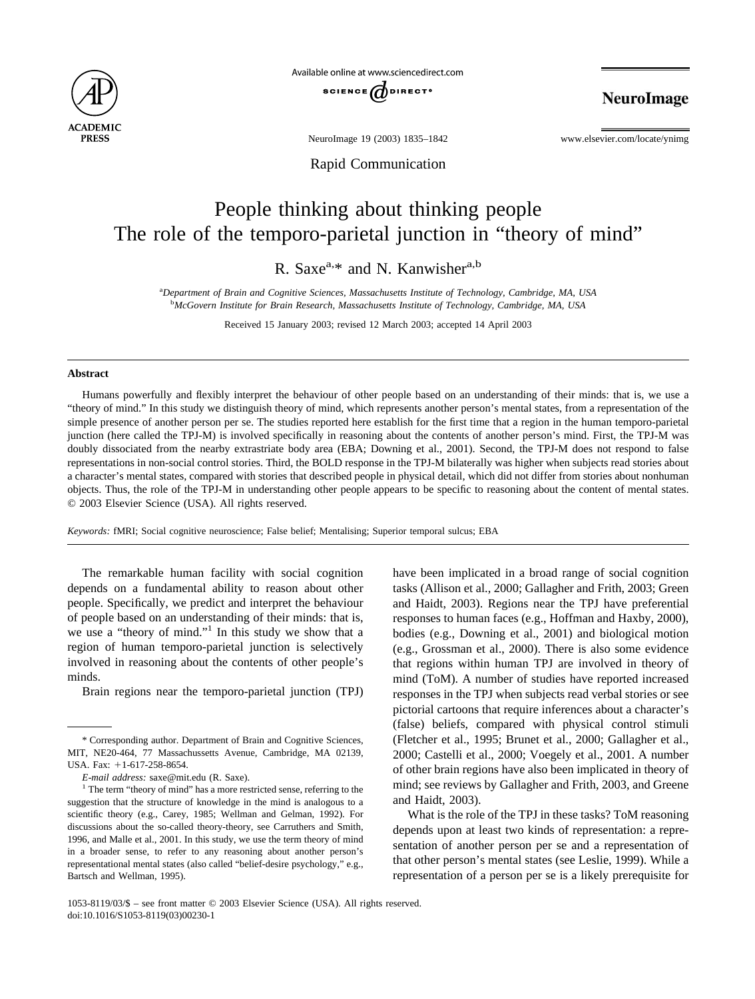

Available online at www.sciencedirect.com



NeuroImage

NeuroImage 19 (2003) 1835–1842 www.elsevier.com/locate/ynimg

Rapid Communication

# People thinking about thinking people The role of the temporo-parietal junction in "theory of mind"

R. Saxe<sup>a,\*</sup> and N. Kanwisher<sup>a,b</sup>

a *Department of Brain and Cognitive Sciences, Massachusetts Institute of Technology, Cambridge, MA, USA* b *McGovern Institute for Brain Research, Massachusetts Institute of Technology, Cambridge, MA, USA*

Received 15 January 2003; revised 12 March 2003; accepted 14 April 2003

#### **Abstract**

Humans powerfully and flexibly interpret the behaviour of other people based on an understanding of their minds: that is, we use a "theory of mind." In this study we distinguish theory of mind, which represents another person's mental states, from a representation of the simple presence of another person per se. The studies reported here establish for the first time that a region in the human temporo-parietal junction (here called the TPJ-M) is involved specifically in reasoning about the contents of another person's mind. First, the TPJ-M was doubly dissociated from the nearby extrastriate body area (EBA; Downing et al., 2001). Second, the TPJ-M does not respond to false representations in non-social control stories. Third, the BOLD response in the TPJ-M bilaterally was higher when subjects read stories about a character's mental states, compared with stories that described people in physical detail, which did not differ from stories about nonhuman objects. Thus, the role of the TPJ-M in understanding other people appears to be specific to reasoning about the content of mental states. © 2003 Elsevier Science (USA). All rights reserved.

*Keywords:* fMRI; Social cognitive neuroscience; False belief; Mentalising; Superior temporal sulcus; EBA

The remarkable human facility with social cognition depends on a fundamental ability to reason about other people. Specifically, we predict and interpret the behaviour of people based on an understanding of their minds: that is, we use a "theory of mind."<sup>1</sup> In this study we show that a region of human temporo-parietal junction is selectively involved in reasoning about the contents of other people's minds.

Brain regions near the temporo-parietal junction (TPJ)

have been implicated in a broad range of social cognition tasks [\(Allison et al., 2000; Gallagher and Frith, 2003; Green](#page-6-0) [and Haidt, 2003\)](#page-6-0). Regions near the TPJ have preferential responses to human faces (e.g., [Hoffman and Haxby, 2000\)](#page-7-0), bodies (e.g., [Downing et al., 2001\)](#page-7-0) and biological motion (e.g., [Grossman et al., 2000\)](#page-7-0). There is also some evidence that regions within human TPJ are involved in theory of mind (ToM). A number of studies have reported increased responses in the TPJ when subjects read verbal stories or see pictorial cartoons that require inferences about a character's (false) beliefs, compared with physical control stimuli [\(Fletcher et al., 1995; Brunet et al., 2000](#page-7-0); [Gallagher et al.,](#page-7-0) [2000; Castelli et al., 2000; Voegely et al., 2001](#page-7-0). A number of other brain regions have also been implicated in theory of mind; see reviews by [Gallagher and Frith, 2003](#page-7-0), and [Greene](#page-7-0) [and Haidt, 2003\).](#page-7-0)

What is the role of the TPJ in these tasks? ToM reasoning depends upon at least two kinds of representation: a representation of another person per se and a representation of that other person's mental states (see [Leslie, 1999\)](#page-7-0). While a representation of a person per se is a likely prerequisite for

<sup>\*</sup> Corresponding author. Department of Brain and Cognitive Sciences, MIT, NE20-464, 77 Massachussetts Avenue, Cambridge, MA 02139, USA. Fax: +1-617-258-8654.

*E-mail address:* saxe@mit.edu (R. Saxe).

<sup>&</sup>lt;sup>1</sup> The term "theory of mind" has a more restricted sense, referring to the suggestion that the structure of knowledge in the mind is analogous to a scientific theory (e.g., [Carey, 1985; Wellman and Gelman, 1992\).](#page-7-0) For discussions about the so-called theory-theory, see [Carruthers and Smith,](#page-7-0) [1996,](#page-7-0) and [Malle et al., 2001](#page-7-0). In this study, we use the term theory of mind in a broader sense, to refer to any reasoning about another person's representational mental states (also called "belief-desire psychology," e.g., [Bartsch and Wellman, 1995\).](#page-6-0)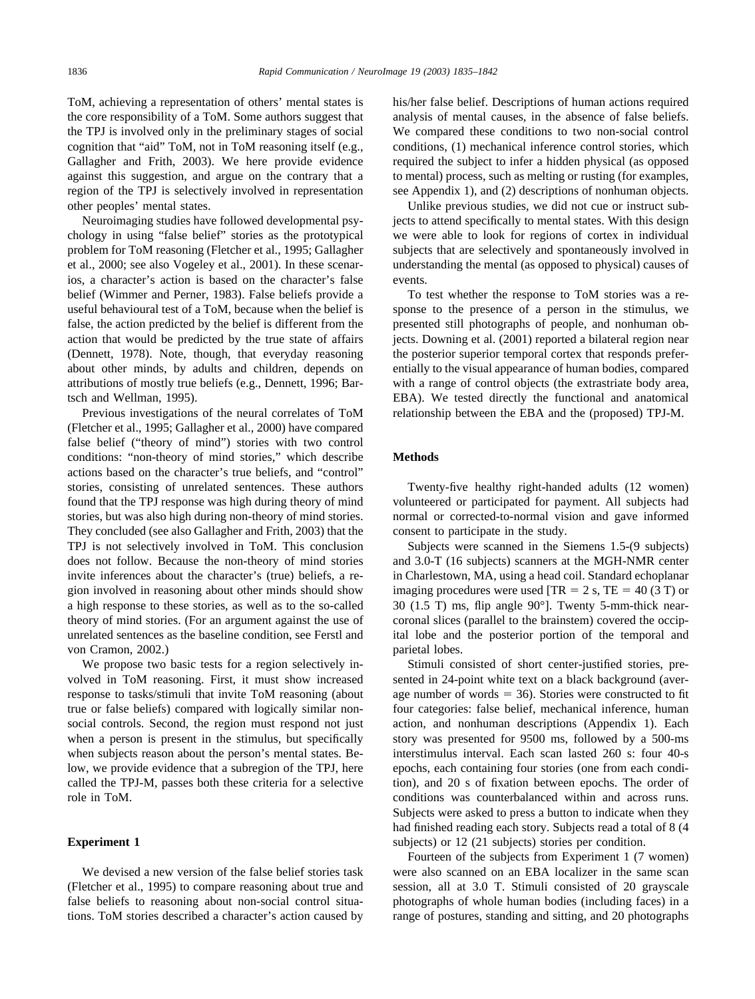ToM, achieving a representation of others' mental states is the core responsibility of a ToM. Some authors suggest that the TPJ is involved only in the preliminary stages of social cognition that "aid" ToM, not in ToM reasoning itself (e.g., [Gallagher and Frith, 2003\)](#page-7-0). We here provide evidence against this suggestion, and argue on the contrary that a region of the TPJ is selectively involved in representation other peoples' mental states.

Neuroimaging studies have followed developmental psychology in using "false belief" stories as the prototypical problem for ToM reasoning [\(Fletcher et al., 1995; Gallagher](#page-7-0) [et al., 2000;](#page-7-0) see also [Vogeley et al., 2001\).](#page-7-0) In these scenarios, a character's action is based on the character's false belief [\(Wimmer and Perner, 1983\)](#page-7-0). False beliefs provide a useful behavioural test of a ToM, because when the belief is false, the action predicted by the belief is different from the action that would be predicted by the true state of affairs [\(Dennett, 1978\)](#page-7-0). Note, though, that everyday reasoning about other minds, by adults and children, depends on attributions of mostly true beliefs (e.g., [Dennett, 1996; Bar](#page-7-0)[tsch and Wellman, 1995\).](#page-7-0)

Previous investigations of the neural correlates of ToM [\(Fletcher et al., 1995; Gallagher et al., 2000\)](#page-7-0) have compared false belief ("theory of mind") stories with two control conditions: "non-theory of mind stories," which describe actions based on the character's true beliefs, and "control" stories, consisting of unrelated sentences. These authors found that the TPJ response was high during theory of mind stories, but was also high during non-theory of mind stories. They concluded (see also [Gallagher and Frith, 2003\)](#page-7-0) that the TPJ is not selectively involved in ToM. This conclusion does not follow. Because the non-theory of mind stories invite inferences about the character's (true) beliefs, a region involved in reasoning about other minds should show a high response to these stories, as well as to the so-called theory of mind stories. (For an argument against the use of unrelated sentences as the baseline condition, see [Ferstl and](#page-7-0) [von Cramon, 2002](#page-7-0).)

We propose two basic tests for a region selectively involved in ToM reasoning. First, it must show increased response to tasks/stimuli that invite ToM reasoning (about true or false beliefs) compared with logically similar nonsocial controls. Second, the region must respond not just when a person is present in the stimulus, but specifically when subjects reason about the person's mental states. Below, we provide evidence that a subregion of the TPJ, here called the TPJ-M, passes both these criteria for a selective role in ToM.

#### **Experiment 1**

We devised a new version of the false belief stories task [\(Fletcher et al., 1995\)](#page-7-0) to compare reasoning about true and false beliefs to reasoning about non-social control situations. ToM stories described a character's action caused by his/her false belief. Descriptions of human actions required analysis of mental causes, in the absence of false beliefs. We compared these conditions to two non-social control conditions, (1) mechanical inference control stories, which required the subject to infer a hidden physical (as opposed to mental) process, such as melting or rusting (for examples, see Appendix 1), and (2) descriptions of nonhuman objects.

Unlike previous studies, we did not cue or instruct subjects to attend specifically to mental states. With this design we were able to look for regions of cortex in individual subjects that are selectively and spontaneously involved in understanding the mental (as opposed to physical) causes of events.

To test whether the response to ToM stories was a response to the presence of a person in the stimulus, we presented still photographs of people, and nonhuman objects. [Downing et al. \(2001\)](#page-7-0) reported a bilateral region near the posterior superior temporal cortex that responds preferentially to the visual appearance of human bodies, compared with a range of control objects (the extrastriate body area, EBA). We tested directly the functional and anatomical relationship between the EBA and the (proposed) TPJ-M.

## **Methods**

Twenty-five healthy right-handed adults (12 women) volunteered or participated for payment. All subjects had normal or corrected-to-normal vision and gave informed consent to participate in the study.

Subjects were scanned in the Siemens 1.5-(9 subjects) and 3.0-T (16 subjects) scanners at the MGH-NMR center in Charlestown, MA, using a head coil. Standard echoplanar imaging procedures were used  $[TR = 2 s, TE = 40 (3 T)$  or 30 (1.5 T) ms, flip angle 90°]. Twenty 5-mm-thick nearcoronal slices (parallel to the brainstem) covered the occipital lobe and the posterior portion of the temporal and parietal lobes.

Stimuli consisted of short center-justified stories, presented in 24-point white text on a black background (average number of words  $= 36$ ). Stories were constructed to fit four categories: false belief, mechanical inference, human action, and nonhuman descriptions (Appendix 1). Each story was presented for 9500 ms, followed by a 500-ms interstimulus interval. Each scan lasted 260 s: four 40-s epochs, each containing four stories (one from each condition), and 20 s of fixation between epochs. The order of conditions was counterbalanced within and across runs. Subjects were asked to press a button to indicate when they had finished reading each story. Subjects read a total of 8 (4 subjects) or 12 (21 subjects) stories per condition.

Fourteen of the subjects from Experiment 1 (7 women) were also scanned on an EBA localizer in the same scan session, all at 3.0 T. Stimuli consisted of 20 grayscale photographs of whole human bodies (including faces) in a range of postures, standing and sitting, and 20 photographs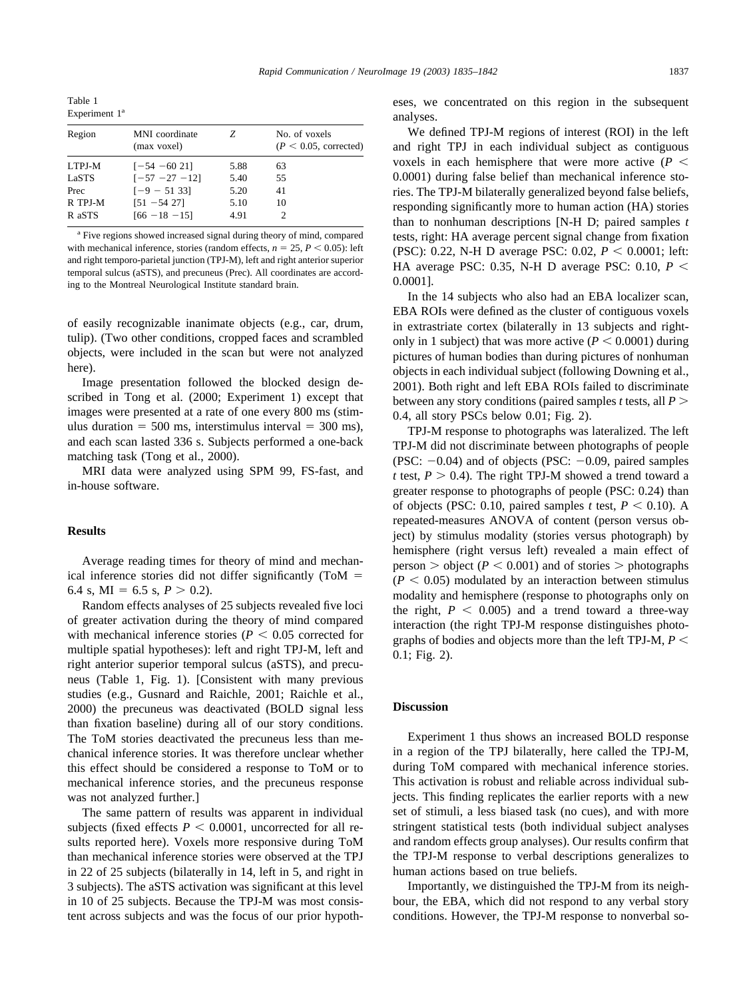Table 1 Experiment 1<sup>a</sup>

| Region  | MNI coordinate<br>(max voxel) | Z    | No. of voxels<br>$(P < 0.05$ , corrected) |
|---------|-------------------------------|------|-------------------------------------------|
| LTPJ-M  | $[-54 - 6021]$                | 5.88 | 63                                        |
| LaSTS   | $[-57 - 27 - 12]$             | 5.40 | 55                                        |
| Prec    | $[-9 - 51 33]$                | 5.20 | 41                                        |
| R TPJ-M | $[51 - 54 27]$                | 5.10 | 10                                        |
| R aSTS  | $[66 - 18 - 15]$              | 4.91 |                                           |
|         |                               |      |                                           |

<sup>a</sup> Five regions showed increased signal during theory of mind, compared with mechanical inference, stories (random effects,  $n = 25$ ,  $P < 0.05$ ): left and right temporo-parietal junction (TPJ-M), left and right anterior superior temporal sulcus (aSTS), and precuneus (Prec). All coordinates are according to the Montreal Neurological Institute standard brain.

of easily recognizable inanimate objects (e.g., car, drum, tulip). (Two other conditions, cropped faces and scrambled objects, were included in the scan but were not analyzed here).

Image presentation followed the blocked design described in [Tong et al. \(2000;](#page-7-0) Experiment 1) except that images were presented at a rate of one every 800 ms (stimulus duration  $= 500$  ms, interstimulus interval  $= 300$  ms), and each scan lasted 336 s. Subjects performed a one-back matching task [\(Tong et al., 2000\).](#page-7-0)

MRI data were analyzed using SPM 99, FS-fast, and in-house software.

## **Results**

Average reading times for theory of mind and mechanical inference stories did not differ significantly (ToM  $=$ 6.4 s, MI = 6.5 s,  $P > 0.2$ ).

Random effects analyses of 25 subjects revealed five loci of greater activation during the theory of mind compared with mechanical inference stories ( $P < 0.05$  corrected for multiple spatial hypotheses): left and right TPJ-M, left and right anterior superior temporal sulcus (aSTS), and precuneus (Table 1, [Fig. 1](#page-3-0)). [Consistent with many previous studies (e.g., Gusnard and Raichle, 2001; Raichle et al., 2000) the precuneus was deactivated (BOLD signal less than fixation baseline) during all of our story conditions. The ToM stories deactivated the precuneus less than mechanical inference stories. It was therefore unclear whether this effect should be considered a response to ToM or to mechanical inference stories, and the precuneus response was not analyzed further.]

The same pattern of results was apparent in individual subjects (fixed effects  $P \le 0.0001$ , uncorrected for all results reported here). Voxels more responsive during ToM than mechanical inference stories were observed at the TPJ in 22 of 25 subjects (bilaterally in 14, left in 5, and right in 3 subjects). The aSTS activation was significant at this level in 10 of 25 subjects. Because the TPJ-M was most consistent across subjects and was the focus of our prior hypotheses, we concentrated on this region in the subsequent analyses.

We defined TPJ-M regions of interest (ROI) in the left and right TPJ in each individual subject as contiguous voxels in each hemisphere that were more active  $(P \leq$ 0.0001) during false belief than mechanical inference stories. The TPJ-M bilaterally generalized beyond false beliefs, responding significantly more to human action (HA) stories than to nonhuman descriptions [N-H D; paired samples *t* tests, right: HA average percent signal change from fixation (PSC): 0.22, N-H D average PSC: 0.02,  $P < 0.0001$ ; left: HA average PSC: 0.35, N-H D average PSC: 0.10, *P* 0.0001].

In the 14 subjects who also had an EBA localizer scan, EBA ROIs were defined as the cluster of contiguous voxels in extrastriate cortex (bilaterally in 13 subjects and rightonly in 1 subject) that was more active  $(P < 0.0001)$  during pictures of human bodies than during pictures of nonhuman objects in each individual subject (following [Downing et al.,](#page-7-0) [2001\)](#page-7-0). Both right and left EBA ROIs failed to discriminate between any story conditions (paired samples *t* tests, all *P* 0.4, all story PSCs below 0.01; [Fig. 2](#page-3-0)).

TPJ-M response to photographs was lateralized. The left TPJ-M did not discriminate between photographs of people (PSC:  $-0.04$ ) and of objects (PSC:  $-0.09$ , paired samples *t* test,  $P > 0.4$ ). The right TPJ-M showed a trend toward a greater response to photographs of people (PSC: 0.24) than of objects (PSC: 0.10, paired samples *t* test,  $P < 0.10$ ). A repeated-measures ANOVA of content (person versus object) by stimulus modality (stories versus photograph) by hemisphere (right versus left) revealed a main effect of person  $>$  object ( $P < 0.001$ ) and of stories  $>$  photographs  $(P < 0.05)$  modulated by an interaction between stimulus modality and hemisphere (response to photographs only on the right,  $P < 0.005$ ) and a trend toward a three-way interaction (the right TPJ-M response distinguishes photographs of bodies and objects more than the left TPJ-M, *P* 0.1; [Fig. 2](#page-3-0)).

#### **Discussion**

Experiment 1 thus shows an increased BOLD response in a region of the TPJ bilaterally, here called the TPJ-M, during ToM compared with mechanical inference stories. This activation is robust and reliable across individual subjects. This finding replicates the earlier reports with a new set of stimuli, a less biased task (no cues), and with more stringent statistical tests (both individual subject analyses and random effects group analyses). Our results confirm that the TPJ-M response to verbal descriptions generalizes to human actions based on true beliefs.

Importantly, we distinguished the TPJ-M from its neighbour, the EBA, which did not respond to any verbal story conditions. However, the TPJ-M response to nonverbal so-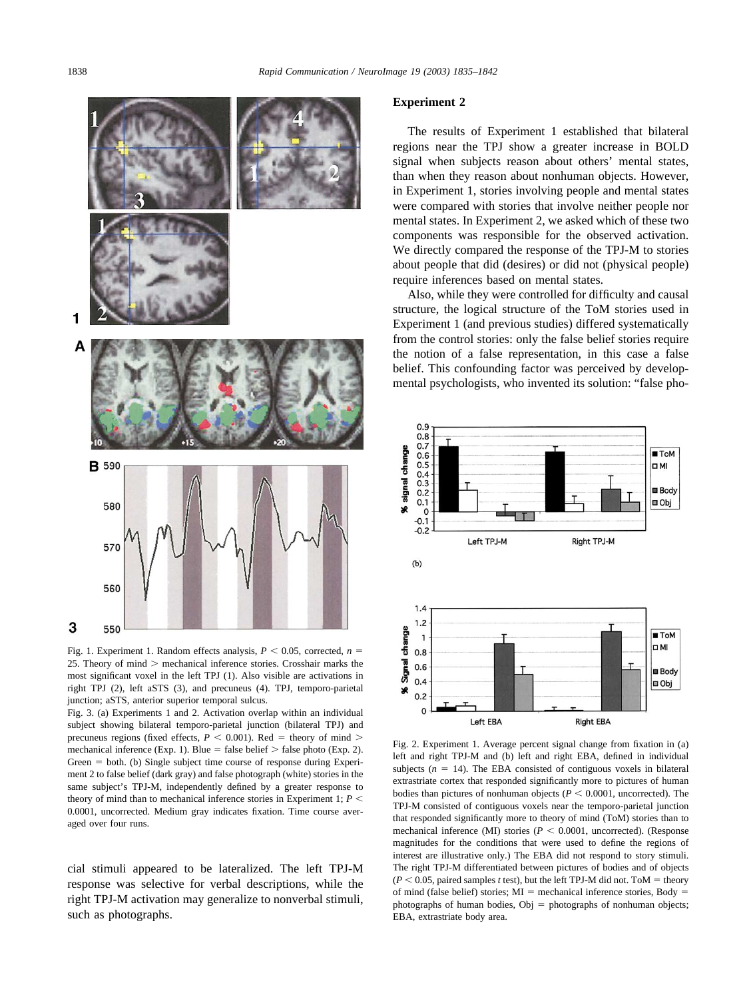<span id="page-3-0"></span>

Fig. 1. Experiment 1. Random effects analysis,  $P < 0.05$ , corrected,  $n =$ 25. Theory of mind  $>$  mechanical inference stories. Crosshair marks the most significant voxel in the left TPJ (1). Also visible are activations in right TPJ (2), left aSTS (3), and precuneus (4). TPJ, temporo-parietal junction; aSTS, anterior superior temporal sulcus.

Fig. 3. (a) Experiments 1 and 2. Activation overlap within an individual subject showing bilateral temporo-parietal junction (bilateral TPJ) and precuneus regions (fixed effects,  $P < 0.001$ ). Red = theory of mind > mechanical inference (Exp. 1). Blue = false belief  $>$  false photo (Exp. 2).  $Green = both.$  (b) Single subject time course of response during Experiment 2 to false belief (dark gray) and false photograph (white) stories in the same subject's TPJ-M, independently defined by a greater response to theory of mind than to mechanical inference stories in Experiment 1;  $P \leq$ 0.0001, uncorrected. Medium gray indicates fixation. Time course averaged over four runs.

cial stimuli appeared to be lateralized. The left TPJ-M response was selective for verbal descriptions, while the right TPJ-M activation may generalize to nonverbal stimuli, such as photographs.

## **Experiment 2**

The results of Experiment 1 established that bilateral regions near the TPJ show a greater increase in BOLD signal when subjects reason about others' mental states, than when they reason about nonhuman objects. However, in Experiment 1, stories involving people and mental states were compared with stories that involve neither people nor mental states. In Experiment 2, we asked which of these two components was responsible for the observed activation. We directly compared the response of the TPJ-M to stories about people that did (desires) or did not (physical people) require inferences based on mental states.

Also, while they were controlled for difficulty and causal structure, the logical structure of the ToM stories used in Experiment 1 (and previous studies) differed systematically from the control stories: only the false belief stories require the notion of a false representation, in this case a false belief. This confounding factor was perceived by developmental psychologists, who invented its solution: "false pho-



Fig. 2. Experiment 1. Average percent signal change from fixation in (a) left and right TPJ-M and (b) left and right EBA, defined in individual subjects  $(n = 14)$ . The EBA consisted of contiguous voxels in bilateral extrastriate cortex that responded significantly more to pictures of human bodies than pictures of nonhuman objects ( $P < 0.0001$ , uncorrected). The TPJ-M consisted of contiguous voxels near the temporo-parietal junction that responded significantly more to theory of mind (ToM) stories than to mechanical inference (MI) stories ( $P < 0.0001$ , uncorrected). (Response magnitudes for the conditions that were used to define the regions of interest are illustrative only.) The EBA did not respond to story stimuli. The right TPJ-M differentiated between pictures of bodies and of objects  $(P < 0.05$ , paired samples *t* test), but the left TPJ-M did not. ToM = theory of mind (false belief) stories;  $MI =$  mechanical inference stories, Body = photographs of human bodies,  $Obj =$  photographs of nonhuman objects; EBA, extrastriate body area.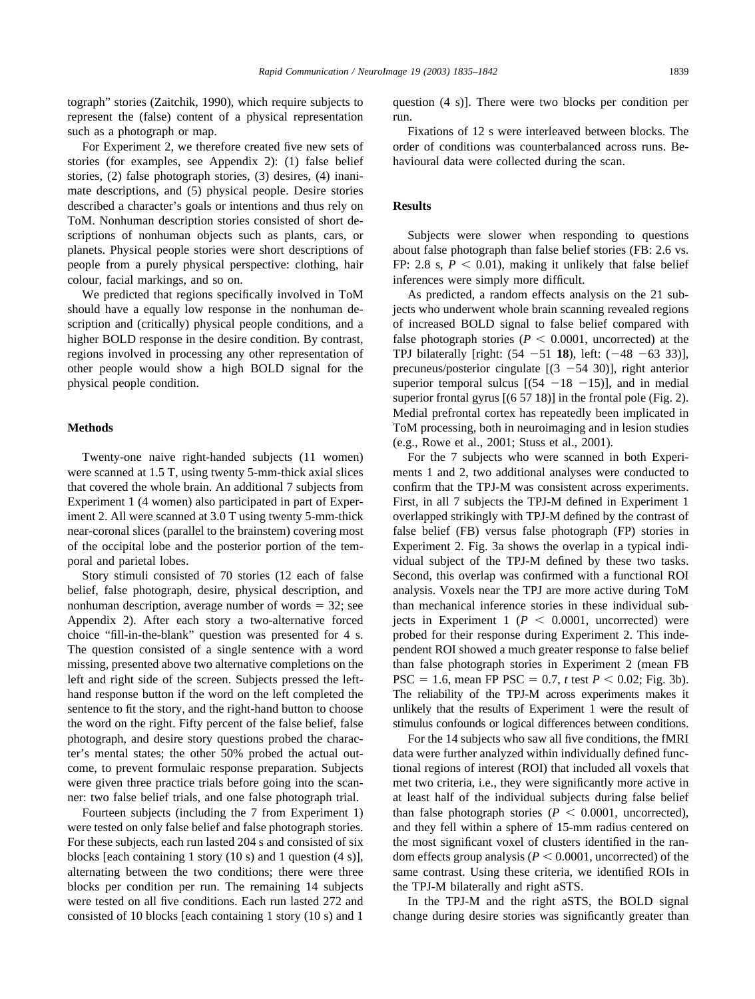tograph" stories [\(Zaitchik, 1990\)](#page-7-0), which require subjects to represent the (false) content of a physical representation such as a photograph or map.

For Experiment 2, we therefore created five new sets of stories (for examples, see Appendix 2): (1) false belief stories, (2) false photograph stories, (3) desires, (4) inanimate descriptions, and (5) physical people. Desire stories described a character's goals or intentions and thus rely on ToM. Nonhuman description stories consisted of short descriptions of nonhuman objects such as plants, cars, or planets. Physical people stories were short descriptions of people from a purely physical perspective: clothing, hair colour, facial markings, and so on.

We predicted that regions specifically involved in ToM should have a equally low response in the nonhuman description and (critically) physical people conditions, and a higher BOLD response in the desire condition. By contrast, regions involved in processing any other representation of other people would show a high BOLD signal for the physical people condition.

## **Methods**

Twenty-one naive right-handed subjects (11 women) were scanned at 1.5 T, using twenty 5-mm-thick axial slices that covered the whole brain. An additional 7 subjects from Experiment 1 (4 women) also participated in part of Experiment 2. All were scanned at 3.0 T using twenty 5-mm-thick near-coronal slices (parallel to the brainstem) covering most of the occipital lobe and the posterior portion of the temporal and parietal lobes.

Story stimuli consisted of 70 stories (12 each of false belief, false photograph, desire, physical description, and nonhuman description, average number of words  $=$  32; see Appendix 2). After each story a two-alternative forced choice "fill-in-the-blank" question was presented for 4 s. The question consisted of a single sentence with a word missing, presented above two alternative completions on the left and right side of the screen. Subjects pressed the lefthand response button if the word on the left completed the sentence to fit the story, and the right-hand button to choose the word on the right. Fifty percent of the false belief, false photograph, and desire story questions probed the character's mental states; the other 50% probed the actual outcome, to prevent formulaic response preparation. Subjects were given three practice trials before going into the scanner: two false belief trials, and one false photograph trial.

Fourteen subjects (including the 7 from Experiment 1) were tested on only false belief and false photograph stories. For these subjects, each run lasted 204 s and consisted of six blocks [each containing 1 story (10 s) and 1 question (4 s)], alternating between the two conditions; there were three blocks per condition per run. The remaining 14 subjects were tested on all five conditions. Each run lasted 272 and consisted of 10 blocks [each containing 1 story (10 s) and 1

question (4 s)]. There were two blocks per condition per run.

Fixations of 12 s were interleaved between blocks. The order of conditions was counterbalanced across runs. Behavioural data were collected during the scan.

# **Results**

Subjects were slower when responding to questions about false photograph than false belief stories (FB: 2.6 vs. FP: 2.8 s,  $P < 0.01$ ), making it unlikely that false belief inferences were simply more difficult.

As predicted, a random effects analysis on the 21 subjects who underwent whole brain scanning revealed regions of increased BOLD signal to false belief compared with false photograph stories ( $P < 0.0001$ , uncorrected) at the TPJ bilaterally [right:  $(54 - 51 \text{ 18})$ , left:  $(-48 - 63 \text{ 33})$ ], precuneus/posterior cingulate  $[(3 -54 30)]$ , right anterior superior temporal sulcus  $[(54 - 18 - 15)]$ , and in medial superior frontal gyrus [(6 57 18)] in the frontal pole ([Fig. 2\)](#page-3-0). Medial prefrontal cortex has repeatedly been implicated in ToM processing, both in neuroimaging and in lesion studies (e.g., [Rowe et al., 2001; Stuss et al., 2001\)](#page-7-0).

For the 7 subjects who were scanned in both Experiments 1 and 2, two additional analyses were conducted to confirm that the TPJ-M was consistent across experiments. First, in all 7 subjects the TPJ-M defined in Experiment 1 overlapped strikingly with TPJ-M defined by the contrast of false belief (FB) versus false photograph (FP) stories in Experiment 2. [Fig. 3a](#page-3-0) shows the overlap in a typical individual subject of the TPJ-M defined by these two tasks. Second, this overlap was confirmed with a functional ROI analysis. Voxels near the TPJ are more active during ToM than mechanical inference stories in these individual subjects in Experiment 1 ( $P < 0.0001$ , uncorrected) were probed for their response during Experiment 2. This independent ROI showed a much greater response to false belief than false photograph stories in Experiment 2 (mean FB PSC = 1.6, mean FP PSC = 0.7, *t* test  $P < 0.02$ ; [Fig. 3b\)](#page-3-0). The reliability of the TPJ-M across experiments makes it unlikely that the results of Experiment 1 were the result of stimulus confounds or logical differences between conditions.

For the 14 subjects who saw all five conditions, the fMRI data were further analyzed within individually defined functional regions of interest (ROI) that included all voxels that met two criteria, i.e., they were significantly more active in at least half of the individual subjects during false belief than false photograph stories ( $P < 0.0001$ , uncorrected), and they fell within a sphere of 15-mm radius centered on the most significant voxel of clusters identified in the random effects group analysis ( $P \le 0.0001$ , uncorrected) of the same contrast. Using these criteria, we identified ROIs in the TPJ-M bilaterally and right aSTS.

In the TPJ-M and the right aSTS, the BOLD signal change during desire stories was significantly greater than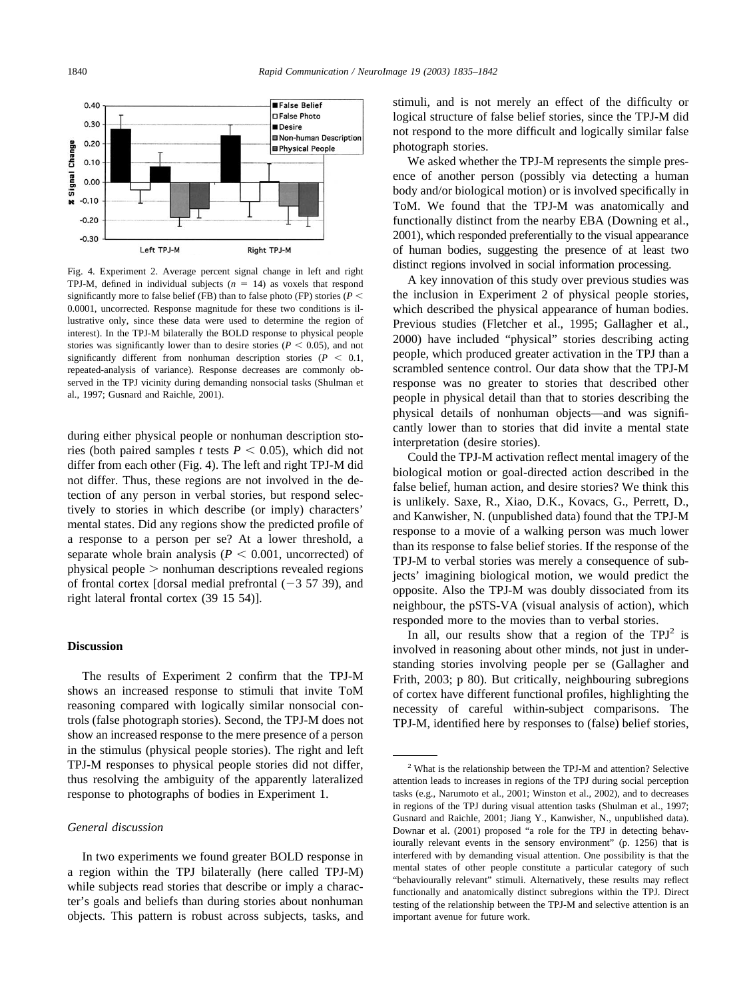

Fig. 4. Experiment 2. Average percent signal change in left and right TPJ-M, defined in individual subjects  $(n = 14)$  as voxels that respond significantly more to false belief (FB) than to false photo (FP) stories ( $P <$ 0.0001, uncorrected. Response magnitude for these two conditions is illustrative only, since these data were used to determine the region of interest). In the TPJ-M bilaterally the BOLD response to physical people stories was significantly lower than to desire stories ( $P < 0.05$ ), and not significantly different from nonhuman description stories ( $P < 0.1$ , repeated-analysis of variance). Response decreases are commonly observed in the TPJ vicinity during demanding nonsocial tasks [\(Shulman et](#page-7-0) [al., 1997; Gusnard and Raichle, 2001\).](#page-7-0)

during either physical people or nonhuman description stories (both paired samples *t* tests  $P \leq 0.05$ ), which did not differ from each other (Fig. 4). The left and right TPJ-M did not differ. Thus, these regions are not involved in the detection of any person in verbal stories, but respond selectively to stories in which describe (or imply) characters' mental states. Did any regions show the predicted profile of a response to a person per se? At a lower threshold, a separate whole brain analysis ( $P < 0.001$ , uncorrected) of physical people  $>$  nonhuman descriptions revealed regions of frontal cortex [dorsal medial prefrontal  $(-3 57 39)$ , and right lateral frontal cortex (39 15 54)].

## **Discussion**

The results of Experiment 2 confirm that the TPJ-M shows an increased response to stimuli that invite ToM reasoning compared with logically similar nonsocial controls (false photograph stories). Second, the TPJ-M does not show an increased response to the mere presence of a person in the stimulus (physical people stories). The right and left TPJ-M responses to physical people stories did not differ, thus resolving the ambiguity of the apparently lateralized response to photographs of bodies in Experiment 1.

# *General discussion*

In two experiments we found greater BOLD response in a region within the TPJ bilaterally (here called TPJ-M) while subjects read stories that describe or imply a character's goals and beliefs than during stories about nonhuman objects. This pattern is robust across subjects, tasks, and stimuli, and is not merely an effect of the difficulty or logical structure of false belief stories, since the TPJ-M did not respond to the more difficult and logically similar false photograph stories.

We asked whether the TPJ-M represents the simple presence of another person (possibly via detecting a human body and/or biological motion) or is involved specifically in ToM. We found that the TPJ-M was anatomically and functionally distinct from the nearby EBA [\(Downing et al.,](#page-7-0) [2001\)](#page-7-0), which responded preferentially to the visual appearance of human bodies, suggesting the presence of at least two distinct regions involved in social information processing.

A key innovation of this study over previous studies was the inclusion in Experiment 2 of physical people stories, which described the physical appearance of human bodies. Previous studies [\(Fletcher et al., 1995; Gallagher et al.,](#page-7-0) [2000\)](#page-7-0) have included "physical" stories describing acting people, which produced greater activation in the TPJ than a scrambled sentence control. Our data show that the TPJ-M response was no greater to stories that described other people in physical detail than that to stories describing the physical details of nonhuman objects—and was significantly lower than to stories that did invite a mental state interpretation (desire stories).

Could the TPJ-M activation reflect mental imagery of the biological motion or goal-directed action described in the false belief, human action, and desire stories? We think this is unlikely. Saxe, R., Xiao, D.K., Kovacs, G., Perrett, D., and Kanwisher, N. (unpublished data) found that the TPJ-M response to a movie of a walking person was much lower than its response to false belief stories. If the response of the TPJ-M to verbal stories was merely a consequence of subjects' imagining biological motion, we would predict the opposite. Also the TPJ-M was doubly dissociated from its neighbour, the pSTS-VA (visual analysis of action), which responded more to the movies than to verbal stories.

In all, our results show that a region of the  $TPJ<sup>2</sup>$  is involved in reasoning about other minds, not just in understanding stories involving people per se [\(Gallagher and](#page-7-0) [Frith, 2003](#page-7-0); p 80). But critically, neighbouring subregions of cortex have different functional profiles, highlighting the necessity of careful within-subject comparisons. The TPJ-M, identified here by responses to (false) belief stories,

<sup>2</sup> What is the relationship between the TPJ-M and attention? Selective attention leads to increases in regions of the TPJ during social perception tasks (e.g., [Narumoto et al., 2001; Winston et al., 2002\),](#page-7-0) and to decreases in regions of the TPJ during visual attention tasks [\(Shulman et al., 1997;](#page-7-0) [Gusnard and Raichle, 2001;](#page-7-0) Jiang Y., Kanwisher, N., unpublished data). [Downar et al. \(2001\)](#page-7-0) proposed "a role for the TPJ in detecting behaviourally relevant events in the sensory environment" (p. 1256) that is interfered with by demanding visual attention. One possibility is that the mental states of other people constitute a particular category of such "behaviourally relevant" stimuli. Alternatively, these results may reflect functionally and anatomically distinct subregions within the TPJ. Direct testing of the relationship between the TPJ-M and selective attention is an important avenue for future work.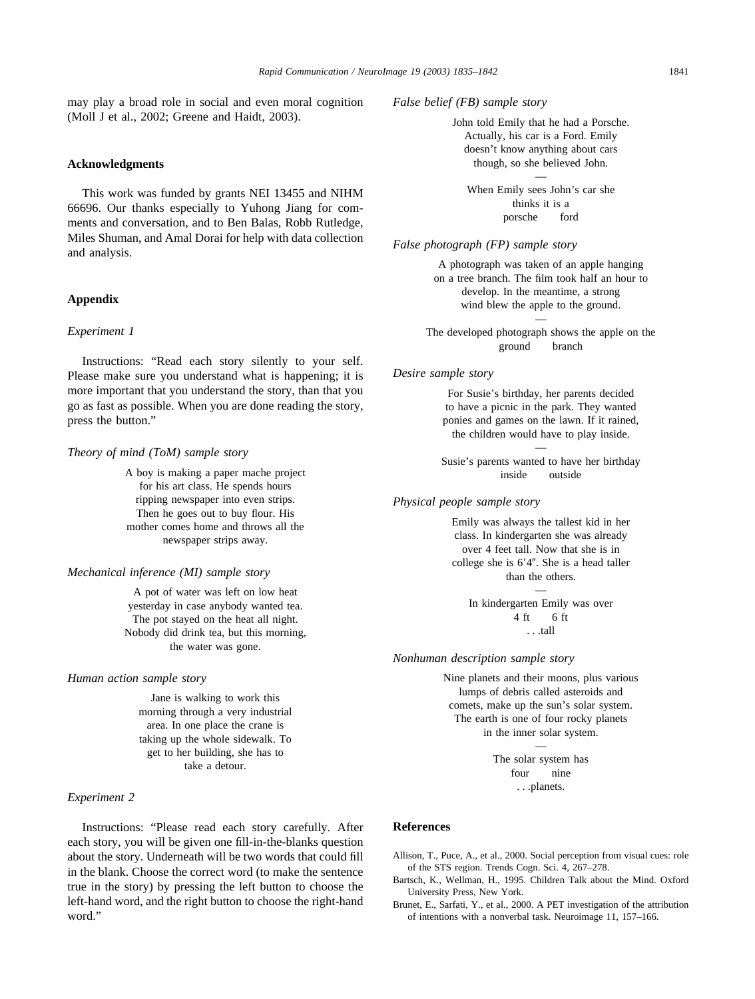<span id="page-6-0"></span>may play a broad role in social and even moral cognition [\(Moll J et al., 2002; Greene and Haidt, 2003\).](#page-7-0)

#### **Acknowledgments**

This work was funded by grants NEI 13455 and NIHM 66696. Our thanks especially to Yuhong Jiang for comments and conversation, and to Ben Balas, Robb Rutledge, Miles Shuman, and Amal Dorai for help with data collection and analysis.

# **Appendix**

## *Experiment 1*

Instructions: "Read each story silently to your self. Please make sure you understand what is happening; it is more important that you understand the story, than that you go as fast as possible. When you are done reading the story, press the button."

# *Theory of mind (ToM) sample story*

A boy is making a paper mache project for his art class. He spends hours ripping newspaper into even strips. Then he goes out to buy flour. His mother comes home and throws all the newspaper strips away.

#### *Mechanical inference (MI) sample story*

A pot of water was left on low heat yesterday in case anybody wanted tea. The pot stayed on the heat all night. Nobody did drink tea, but this morning, the water was gone.

*Human action sample story*

Jane is walking to work this morning through a very industrial area. In one place the crane is taking up the whole sidewalk. To get to her building, she has to take a detour.

# *Experiment 2*

Instructions: "Please read each story carefully. After each story, you will be given one fill-in-the-blanks question about the story. Underneath will be two words that could fill in the blank. Choose the correct word (to make the sentence true in the story) by pressing the left button to choose the left-hand word, and the right button to choose the right-hand word."

*False belief (FB) sample story*

John told Emily that he had a Porsche. Actually, his car is a Ford. Emily doesn't know anything about cars though, so she believed John.

When Emily sees John's car she thinks it is a porsche ford

—

*False photograph (FP) sample story*

A photograph was taken of an apple hanging on a tree branch. The film took half an hour to develop. In the meantime, a strong wind blew the apple to the ground.

— The developed photograph shows the apple on the ground branch

## *Desire sample story*

For Susie's birthday, her parents decided to have a picnic in the park. They wanted ponies and games on the lawn. If it rained, the children would have to play inside.

— Susie's parents wanted to have her birthday inside outside

*Physical people sample story*

Emily was always the tallest kid in her class. In kindergarten she was already over 4 feet tall. Now that she is in college she is  $6'4''$ . She is a head taller than the others.

In kindergarten Emily was over 4 ft 6 ft . . .tall

—

*Nonhuman description sample story*

Nine planets and their moons, plus various lumps of debris called asteroids and comets, make up the sun's solar system. The earth is one of four rocky planets in the inner solar system.

> The solar system has four nine . . .planets.

—

## **References**

Allison, T., Puce, A., et al., 2000. Social perception from visual cues: role of the STS region. Trends Cogn. Sci. 4, 267–278.

- Bartsch, K., Wellman, H., 1995. Children Talk about the Mind. Oxford University Press, New York.
- Brunet, E., Sarfati, Y., et al., 2000. A PET investigation of the attribution of intentions with a nonverbal task. Neuroimage 11, 157–166.